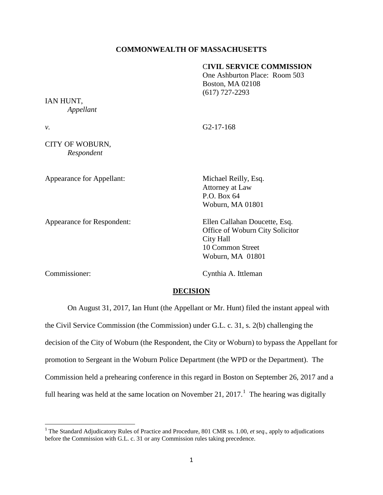## **COMMONWEALTH OF MASSACHUSETTS**

## C**IVIL SERVICE COMMISSION**

One Ashburton Place: Room 503 Boston, MA 02108 (617) 727-2293

IAN HUNT, *Appellant*

*v.* G2-17-168

CITY OF WOBURN, *Respondent*

Appearance for Appellant: Michael Reilly, Esq.

Attorney at Law P.O. Box 64 Woburn, MA 01801

Appearance for Respondent: Ellen Callahan Doucette, Esq. Office of Woburn City Solicitor City Hall 10 Common Street Woburn, MA 01801

Commissioner: Cynthia A. Ittleman

# **DECISION**

On August 31, 2017, Ian Hunt (the Appellant or Mr. Hunt) filed the instant appeal with the Civil Service Commission (the Commission) under G.L. c. 31, s. 2(b) challenging the decision of the City of Woburn (the Respondent, the City or Woburn) to bypass the Appellant for promotion to Sergeant in the Woburn Police Department (the WPD or the Department). The Commission held a prehearing conference in this regard in Boston on September 26, 2017 and a full hearing was held at the same location on November 2[1](#page-0-0), 2017.<sup>1</sup> The hearing was digitally

<span id="page-0-0"></span> <sup>1</sup> The Standard Adjudicatory Rules of Practice and Procedure, 801 CMR ss. 1.00, *et seq*., apply to adjudications before the Commission with G.L. c. 31 or any Commission rules taking precedence.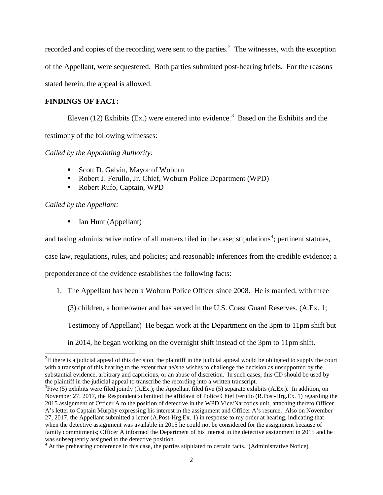recorded and copies of the recording were sent to the parties. $2$  The witnesses, with the exception of the Appellant, were sequestered. Both parties submitted post-hearing briefs. For the reasons stated herein, the appeal is allowed.

# **FINDINGS OF FACT:**

Eleven (12) Exhibits (Ex.) were entered into evidence.<sup>[3](#page-1-1)</sup> Based on the Exhibits and the testimony of the following witnesses:

*Called by the Appointing Authority:*

- Scott D. Galvin, Mayor of Woburn
- Robert J. Ferullo, Jr. Chief, Woburn Police Department (WPD)
- Robert Rufo, Captain, WPD

*Called by the Appellant:*

Ian Hunt (Appellant)

and taking administrative notice of all matters filed in the case; stipulations<sup>[4](#page-1-2)</sup>; pertinent statutes,

case law, regulations, rules, and policies; and reasonable inferences from the credible evidence; a

preponderance of the evidence establishes the following facts:

1. The Appellant has been a Woburn Police Officer since 2008. He is married, with three

(3) children, a homeowner and has served in the U.S. Coast Guard Reserves. (A.Ex. 1;

Testimony of Appellant) He began work at the Department on the 3pm to 11pm shift but

in 2014, he began working on the overnight shift instead of the 3pm to 11pm shift.

<span id="page-1-0"></span> $\frac{1}{2}$  $2$ If there is a judicial appeal of this decision, the plaintiff in the judicial appeal would be obligated to supply the court with a transcript of this hearing to the extent that he/she wishes to challenge the decision as unsupported by the substantial evidence, arbitrary and capricious, or an abuse of discretion. In such cases, this CD should be used by the plaintiff in the judicial appeal to transcribe the recording into a written transcript.

<span id="page-1-1"></span> ${}^{3}$ Five (5) exhibits were filed jointly (Jt.Ex.); the Appellant filed five (5) separate exhibits (A.Ex.). In addition, on November 27, 2017, the Respondent submitted the affidavit of Police Chief Ferullo (R.Post-Hrg.Ex. 1) regarding the 2015 assignment of Officer A to the position of detective in the WPD Vice/Narcotics unit, attaching thereto Officer A's letter to Captain Murphy expressing his interest in the assignment and Officer A's resume. Also on November 27, 2017, the Appellant submitted a letter (A.Post-Hrg.Ex. 1) in response to my order at hearing, indicating that when the detective assignment was available in 2015 he could not be considered for the assignment because of family commitments; Officer A informed the Department of his interest in the detective assignment in 2015 and he was subsequently assigned to the detective position.

<span id="page-1-2"></span><sup>&</sup>lt;sup>4</sup> At the prehearing conference in this case, the parties stipulated to certain facts. (Administrative Notice)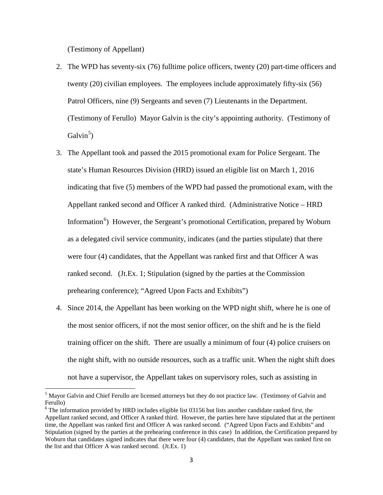(Testimony of Appellant)

- 2. The WPD has seventy-six (76) fulltime police officers, twenty (20) part-time officers and twenty (20) civilian employees. The employees include approximately fifty-six (56) Patrol Officers, nine (9) Sergeants and seven (7) Lieutenants in the Department. (Testimony of Ferullo) Mayor Galvin is the city's appointing authority. (Testimony of Galvin<sup>[5](#page-2-0)</sup>)
- 3. The Appellant took and passed the 2015 promotional exam for Police Sergeant. The state's Human Resources Division (HRD) issued an eligible list on March 1, 2016 indicating that five (5) members of the WPD had passed the promotional exam, with the Appellant ranked second and Officer A ranked third. (Administrative Notice – HRD Information<sup>[6](#page-2-1)</sup>) However, the Sergeant's promotional Certification, prepared by Woburn as a delegated civil service community, indicates (and the parties stipulate) that there were four (4) candidates, that the Appellant was ranked first and that Officer A was ranked second. (Jt.Ex. 1; Stipulation (signed by the parties at the Commission prehearing conference); "Agreed Upon Facts and Exhibits")
- 4. Since 2014, the Appellant has been working on the WPD night shift, where he is one of the most senior officers, if not the most senior officer, on the shift and he is the field training officer on the shift. There are usually a minimum of four (4) police cruisers on the night shift, with no outside resources, such as a traffic unit. When the night shift does not have a supervisor, the Appellant takes on supervisory roles, such as assisting in

<span id="page-2-0"></span><sup>&</sup>lt;sup>5</sup> Mayor Galvin and Chief Ferullo are licensed attorneys but they do not practice law. (Testimony of Galvin and Ferullo)

<span id="page-2-1"></span><sup>&</sup>lt;sup>6</sup> The information provided by HRD includes eligible list 03156 but lists another candidate ranked first, the Appellant ranked second, and Officer A ranked third. However, the parties here have stipulated that at the pertinent time, the Appellant was ranked first and Officer A was ranked second. ("Agreed Upon Facts and Exhibits" and Stipulation (signed by the parties at the prehearing conference in this case) In addition, the Certification prepared by Woburn that candidates signed indicates that there were four (4) candidates, that the Appellant was ranked first on the list and that Officer A was ranked second. (Jt.Ex. 1)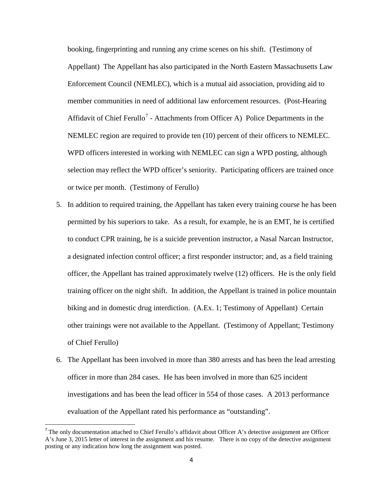booking, fingerprinting and running any crime scenes on his shift. (Testimony of Appellant) The Appellant has also participated in the North Eastern Massachusetts Law Enforcement Council (NEMLEC), which is a mutual aid association, providing aid to member communities in need of additional law enforcement resources. (Post-Hearing Affidavit of Chief Ferullo<sup>[7](#page-3-0)</sup> - Attachments from Officer A) Police Departments in the NEMLEC region are required to provide ten (10) percent of their officers to NEMLEC. WPD officers interested in working with NEMLEC can sign a WPD posting, although selection may reflect the WPD officer's seniority. Participating officers are trained once or twice per month. (Testimony of Ferullo)

- 5. In addition to required training, the Appellant has taken every training course he has been permitted by his superiors to take. As a result, for example, he is an EMT, he is certified to conduct CPR training, he is a suicide prevention instructor, a Nasal Narcan Instructor, a designated infection control officer; a first responder instructor; and, as a field training officer, the Appellant has trained approximately twelve (12) officers. He is the only field training officer on the night shift. In addition, the Appellant is trained in police mountain biking and in domestic drug interdiction. (A.Ex. 1; Testimony of Appellant) Certain other trainings were not available to the Appellant. (Testimony of Appellant; Testimony of Chief Ferullo)
- 6. The Appellant has been involved in more than 380 arrests and has been the lead arresting officer in more than 284 cases. He has been involved in more than 625 incident investigations and has been the lead officer in 554 of those cases. A 2013 performance evaluation of the Appellant rated his performance as "outstanding".

<span id="page-3-0"></span> $<sup>7</sup>$  The only documentation attached to Chief Ferullo's affidavit about Officer A's detective assignment are Officer</sup> A's June 3, 2015 letter of interest in the assignment and his resume. There is no copy of the detective assignment posting or any indication how long the assignment was posted.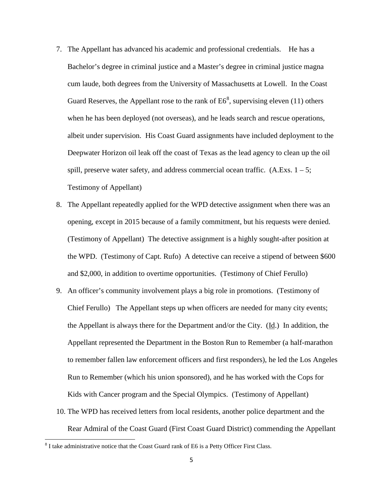- 7. The Appellant has advanced his academic and professional credentials. He has a Bachelor's degree in criminal justice and a Master's degree in criminal justice magna cum laude, both degrees from the University of Massachusetts at Lowell. In the Coast Guard Reserves, the Appellant rose to the rank of  $E6<sup>8</sup>$  $E6<sup>8</sup>$  $E6<sup>8</sup>$ , supervising eleven (11) others when he has been deployed (not overseas), and he leads search and rescue operations, albeit under supervision. His Coast Guard assignments have included deployment to the Deepwater Horizon oil leak off the coast of Texas as the lead agency to clean up the oil spill, preserve water safety, and address commercial ocean traffic.  $(A.Exs. 1 - 5;$ Testimony of Appellant)
- 8. The Appellant repeatedly applied for the WPD detective assignment when there was an opening, except in 2015 because of a family commitment, but his requests were denied. (Testimony of Appellant) The detective assignment is a highly sought-after position at the WPD. (Testimony of Capt. Rufo) A detective can receive a stipend of between \$600 and \$2,000, in addition to overtime opportunities. (Testimony of Chief Ferullo)
- 9. An officer's community involvement plays a big role in promotions. (Testimony of Chief Ferullo) The Appellant steps up when officers are needed for many city events; the Appellant is always there for the Department and/or the City. (Id.) In addition, the Appellant represented the Department in the Boston Run to Remember (a half-marathon to remember fallen law enforcement officers and first responders), he led the Los Angeles Run to Remember (which his union sponsored), and he has worked with the Cops for Kids with Cancer program and the Special Olympics. (Testimony of Appellant)
- 10. The WPD has received letters from local residents, another police department and the Rear Admiral of the Coast Guard (First Coast Guard District) commending the Appellant

<span id="page-4-0"></span> $8$  I take administrative notice that the Coast Guard rank of E6 is a Petty Officer First Class.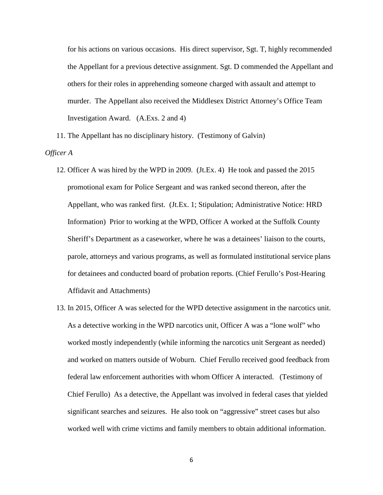for his actions on various occasions. His direct supervisor, Sgt. T, highly recommended the Appellant for a previous detective assignment. Sgt. D commended the Appellant and others for their roles in apprehending someone charged with assault and attempt to murder. The Appellant also received the Middlesex District Attorney's Office Team Investigation Award. (A.Exs. 2 and 4)

11. The Appellant has no disciplinary history. (Testimony of Galvin) *Officer A*

- 12. Officer A was hired by the WPD in 2009. (Jt.Ex. 4) He took and passed the 2015 promotional exam for Police Sergeant and was ranked second thereon, after the Appellant, who was ranked first. (Jt.Ex. 1; Stipulation; Administrative Notice: HRD Information) Prior to working at the WPD, Officer A worked at the Suffolk County Sheriff's Department as a caseworker, where he was a detainees' liaison to the courts, parole, attorneys and various programs, as well as formulated institutional service plans for detainees and conducted board of probation reports. (Chief Ferullo's Post-Hearing Affidavit and Attachments)
- 13. In 2015, Officer A was selected for the WPD detective assignment in the narcotics unit. As a detective working in the WPD narcotics unit, Officer A was a "lone wolf" who worked mostly independently (while informing the narcotics unit Sergeant as needed) and worked on matters outside of Woburn. Chief Ferullo received good feedback from federal law enforcement authorities with whom Officer A interacted. (Testimony of Chief Ferullo) As a detective, the Appellant was involved in federal cases that yielded significant searches and seizures. He also took on "aggressive" street cases but also worked well with crime victims and family members to obtain additional information.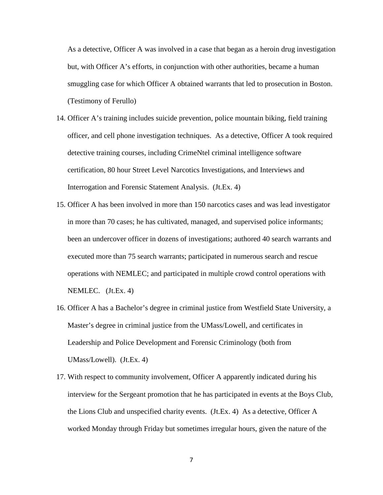As a detective, Officer A was involved in a case that began as a heroin drug investigation but, with Officer A's efforts, in conjunction with other authorities, became a human smuggling case for which Officer A obtained warrants that led to prosecution in Boston. (Testimony of Ferullo)

- 14. Officer A's training includes suicide prevention, police mountain biking, field training officer, and cell phone investigation techniques. As a detective, Officer A took required detective training courses, including CrimeNtel criminal intelligence software certification, 80 hour Street Level Narcotics Investigations, and Interviews and Interrogation and Forensic Statement Analysis. (Jt.Ex. 4)
- 15. Officer A has been involved in more than 150 narcotics cases and was lead investigator in more than 70 cases; he has cultivated, managed, and supervised police informants; been an undercover officer in dozens of investigations; authored 40 search warrants and executed more than 75 search warrants; participated in numerous search and rescue operations with NEMLEC; and participated in multiple crowd control operations with NEMLEC. (Jt.Ex. 4)
- 16. Officer A has a Bachelor's degree in criminal justice from Westfield State University, a Master's degree in criminal justice from the UMass/Lowell, and certificates in Leadership and Police Development and Forensic Criminology (both from UMass/Lowell). (Jt.Ex. 4)
- 17. With respect to community involvement, Officer A apparently indicated during his interview for the Sergeant promotion that he has participated in events at the Boys Club, the Lions Club and unspecified charity events. (Jt.Ex. 4) As a detective, Officer A worked Monday through Friday but sometimes irregular hours, given the nature of the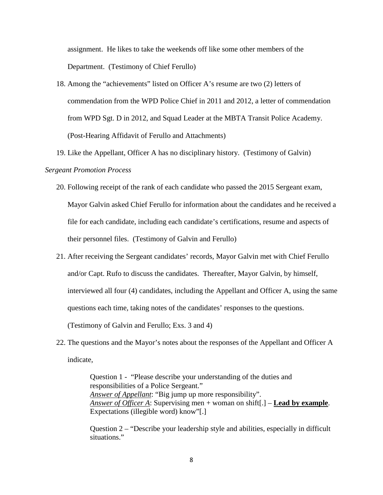assignment. He likes to take the weekends off like some other members of the Department. (Testimony of Chief Ferullo)

- 18. Among the "achievements" listed on Officer A's resume are two (2) letters of commendation from the WPD Police Chief in 2011 and 2012, a letter of commendation from WPD Sgt. D in 2012, and Squad Leader at the MBTA Transit Police Academy. (Post-Hearing Affidavit of Ferullo and Attachments)
- 19. Like the Appellant, Officer A has no disciplinary history. (Testimony of Galvin)

#### *Sergeant Promotion Process*

- 20. Following receipt of the rank of each candidate who passed the 2015 Sergeant exam, Mayor Galvin asked Chief Ferullo for information about the candidates and he received a file for each candidate, including each candidate's certifications, resume and aspects of their personnel files. (Testimony of Galvin and Ferullo)
- 21. After receiving the Sergeant candidates' records, Mayor Galvin met with Chief Ferullo and/or Capt. Rufo to discuss the candidates. Thereafter, Mayor Galvin, by himself, interviewed all four (4) candidates, including the Appellant and Officer A, using the same questions each time, taking notes of the candidates' responses to the questions. (Testimony of Galvin and Ferullo; Exs. 3 and 4)
- 22. The questions and the Mayor's notes about the responses of the Appellant and Officer A indicate,

Question 1 - "Please describe your understanding of the duties and responsibilities of a Police Sergeant." *Answer of Appellant*: "Big jump up more responsibility". *Answer of Officer A*: Supervising men + woman on shift[.] – **Lead by example**. Expectations (illegible word) know"[.]

Question 2 – "Describe your leadership style and abilities, especially in difficult situations."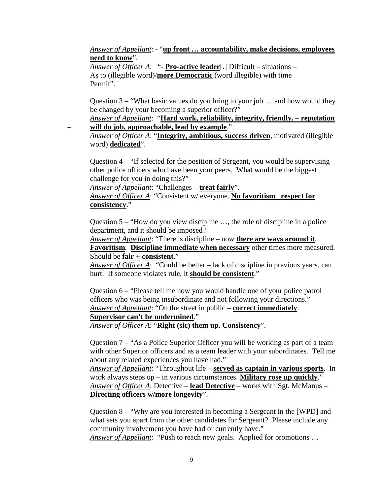*Answer of Appellant*: - "**up front … accountability, make decisions, employees need to know**".

*Answer of Officer A*: "- **Pro-active leader**[.] Difficult – situations – As to (illegible word)/**more Democratic** (word illegible) with time Permit".

Question  $3 -$  "What basic values do you bring to your job ... and how would they be changed by your becoming a superior officer?"

*Answer of Appellant*: "**Hard work, reliability, integrity, friendly. – reputation** – **will do job, approachable, lead by example**."

*Answer of Officer A*: "**Integrity, ambitious, success driven**, motivated (illegible word) **dedicated**".

Question 4 – "If selected for the position of Sergeant, you would be supervising other police officers who have been your peers. What would be the biggest challenge for you in doing this?"

*Answer of Appellant*: "Challenges – **treat fairly**".

*Answer of Officer A*: "Consistent w/ everyone. **No favoritism respect for consistency**."

Question 5 – "How do you view discipline …, the role of discipline in a police department, and it should be imposed?

*Answer of Appellant*: "There is discipline – now **there are ways around it**.

**Favoritism**. **Discipline immediate when necessary** other times more measured. Should be **fair + consistent**."

*Answer of Officer A*: "Could be better – lack of discipline in previous years, can hurt. If someone violates rule, it **should be consistent**."

Question 6 – "Please tell me how you would handle one of your police patrol officers who was being insubordinate and not following your directions." *Answer of Appellant*: "On the street in public – **correct immediately**.

# **Supervisor can't be undermined**."

*Answer of Officer A*: "**Right (sic) them up. Consistency**".

Question 7 – "As a Police Superior Officer you will be working as part of a team with other Superior officers and as a team leader with your subordinates. Tell me about any related experiences you have had."

*Answer of Appellant*: "Throughout life – **served as captain in various sports**. In work always steps up – in various circumstances. **Military rose up quickly**." *Answer of Officer A*: Detective – **lead Detective** – works with Sgt. McManus – **Directing officers w/more longevity**".

Question 8 – "Why are you interested in becoming a Sergeant in the [WPD] and what sets you apart from the other candidates for Sergeant? Please include any community involvement you have had or currently have."

*Answer of Appellant*: "Push to reach new goals. Applied for promotions …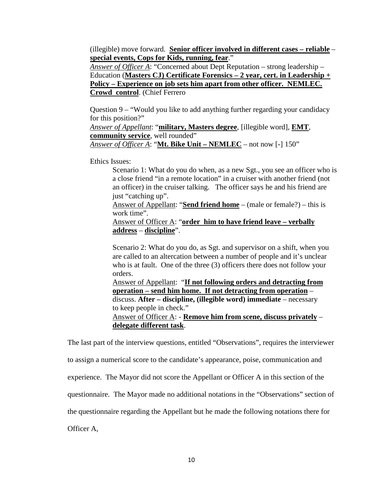(illegible) move forward. **Senior officer involved in different cases – reliable** – **special events, Cops for Kids, running, fear**."

*Answer of Officer A*: "Concerned about Dept Reputation – strong leadership – Education (**Masters CJ) Certificate Forensics – 2 year, cert. in Leadership + Policy – Experience on job sets him apart from other officer. NEMLEC. Crowd control**. (Chief Ferrero

Question 9 – "Would you like to add anything further regarding your candidacy for this position?"

*Answer of Appellant*: "**military, Masters degree**, [illegible word], **EMT**, **community service**, well rounded"

*Answer of Officer A*: "**Mt. Bike Unit – NEMLEC** – not now [-] 150"

Ethics Issues:

Scenario 1: What do you do when, as a new Sgt., you see an officer who is a close friend "in a remote location" in a cruiser with another friend (not an officer) in the cruiser talking. The officer says he and his friend are just "catching up".

Answer of Appellant: "**Send friend home** – (male or female?) – this is work time".

Answer of Officer A: "**order him to have friend leave – verbally address** – **discipline**".

Scenario 2: What do you do, as Sgt. and supervisor on a shift, when you are called to an altercation between a number of people and it's unclear who is at fault. One of the three (3) officers there does not follow your orders.

Answer of Appellant: "**If not following orders and detracting from operation – send him home. If not detracting from operation** – discuss. **After – discipline, (illegible word) immediate** – necessary to keep people in check." Answer of Officer A: - **Remove him from scene, discuss privately** – **delegate different task**.

The last part of the interview questions, entitled "Observations", requires the interviewer

to assign a numerical score to the candidate's appearance, poise, communication and

experience. The Mayor did not score the Appellant or Officer A in this section of the

questionnaire. The Mayor made no additional notations in the "Observations" section of

the questionnaire regarding the Appellant but he made the following notations there for

Officer A,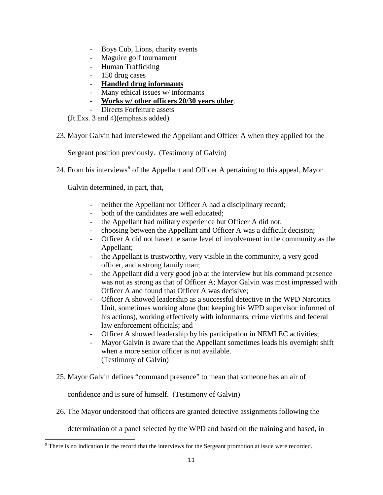- Boys Cub, Lions, charity events
- Maguire golf tournament
- Human Trafficking
- 150 drug cases
- **Handled drug informants**
- Many ethical issues w/ informants
- **Works w/ other officers 20/30 years older**.
- Directs Forfeiture assets

(Jt.Exs. 3 and 4)(emphasis added)

23. Mayor Galvin had interviewed the Appellant and Officer A when they applied for the

Sergeant position previously. (Testimony of Galvin)

24. From his interviews<sup>[9](#page-10-0)</sup> of the Appellant and Officer A pertaining to this appeal, Mayor

Galvin determined, in part, that,

- neither the Appellant nor Officer A had a disciplinary record;
- both of the candidates are well educated;
- the Appellant had military experience but Officer A did not;
- choosing between the Appellant and Officer A was a difficult decision;
- Officer A did not have the same level of involvement in the community as the Appellant;
- the Appellant is trustworthy, very visible in the community, a very good officer, and a strong family man;
- the Appellant did a very good job at the interview but his command presence was not as strong as that of Officer A; Mayor Galvin was most impressed with Officer A and found that Officer A was decisive;
- Officer A showed leadership as a successful detective in the WPD Narcotics Unit, sometimes working alone (but keeping his WPD supervisor informed of his actions), working effectively with informants, crime victims and federal law enforcement officials; and
- Officer A showed leadership by his participation in NEMLEC activities;
- Mayor Galvin is aware that the Appellant sometimes leads his overnight shift when a more senior officer is not available. (Testimony of Galvin)
- 25. Mayor Galvin defines "command presence" to mean that someone has an air of

confidence and is sure of himself. (Testimony of Galvin)

26. The Mayor understood that officers are granted detective assignments following the

determination of a panel selected by the WPD and based on the training and based, in

<span id="page-10-0"></span><sup>&</sup>lt;sup>9</sup> There is no indication in the record that the interviews for the Sergeant promotion at issue were recorded.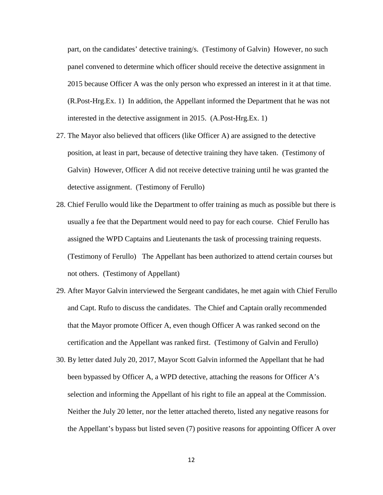part, on the candidates' detective training/s. (Testimony of Galvin) However, no such panel convened to determine which officer should receive the detective assignment in 2015 because Officer A was the only person who expressed an interest in it at that time. (R.Post-Hrg.Ex. 1) In addition, the Appellant informed the Department that he was not interested in the detective assignment in 2015. (A.Post-Hrg.Ex. 1)

- 27. The Mayor also believed that officers (like Officer A) are assigned to the detective position, at least in part, because of detective training they have taken. (Testimony of Galvin) However, Officer A did not receive detective training until he was granted the detective assignment. (Testimony of Ferullo)
- 28. Chief Ferullo would like the Department to offer training as much as possible but there is usually a fee that the Department would need to pay for each course. Chief Ferullo has assigned the WPD Captains and Lieutenants the task of processing training requests. (Testimony of Ferullo) The Appellant has been authorized to attend certain courses but not others. (Testimony of Appellant)
- 29. After Mayor Galvin interviewed the Sergeant candidates, he met again with Chief Ferullo and Capt. Rufo to discuss the candidates. The Chief and Captain orally recommended that the Mayor promote Officer A, even though Officer A was ranked second on the certification and the Appellant was ranked first. (Testimony of Galvin and Ferullo)
- 30. By letter dated July 20, 2017, Mayor Scott Galvin informed the Appellant that he had been bypassed by Officer A, a WPD detective, attaching the reasons for Officer A's selection and informing the Appellant of his right to file an appeal at the Commission. Neither the July 20 letter, nor the letter attached thereto, listed any negative reasons for the Appellant's bypass but listed seven (7) positive reasons for appointing Officer A over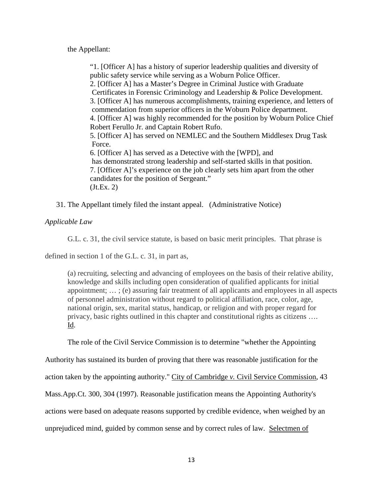the Appellant:

"1. [Officer A] has a history of superior leadership qualities and diversity of public safety service while serving as a Woburn Police Officer. 2. [Officer A] has a Master's Degree in Criminal Justice with Graduate Certificates in Forensic Criminology and Leadership & Police Development. 3. [Officer A] has numerous accomplishments, training experience, and letters of commendation from superior officers in the Woburn Police department. 4. [Officer A] was highly recommended for the position by Woburn Police Chief Robert Ferullo Jr. and Captain Robert Rufo. 5. [Officer A] has served on NEMLEC and the Southern Middlesex Drug Task Force. 6. [Officer A] has served as a Detective with the [WPD], and has demonstrated strong leadership and self-started skills in that position. 7. [Officer A]'s experience on the job clearly sets him apart from the other candidates for the position of Sergeant." (Jt.Ex. 2)

31. The Appellant timely filed the instant appeal. (Administrative Notice)

*Applicable Law*

G.L. c. 31, the civil service statute, is based on basic merit principles. That phrase is

defined in section 1 of the G.L. c. 31, in part as,

(a) recruiting, selecting and advancing of employees on the basis of their relative ability, knowledge and skills including open consideration of qualified applicants for initial appointment; … ; (e) assuring fair treatment of all applicants and employees in all aspects of personnel administration without regard to political affiliation, race, color, age, national origin, sex, marital status, handicap, or religion and with proper regard for privacy, basic rights outlined in this chapter and constitutional rights as citizens …. Id.

The role of the Civil Service Commission is to determine "whether the Appointing

Authority has sustained its burden of proving that there was reasonable justification for the

action taken by the appointing authority." City of Cambridge *v.* Civil Service Commission, 43

Mass.App.Ct. 300, 304 (1997). Reasonable justification means the Appointing Authority's

actions were based on adequate reasons supported by credible evidence, when weighed by an

unprejudiced mind, guided by common sense and by correct rules of law. Selectmen of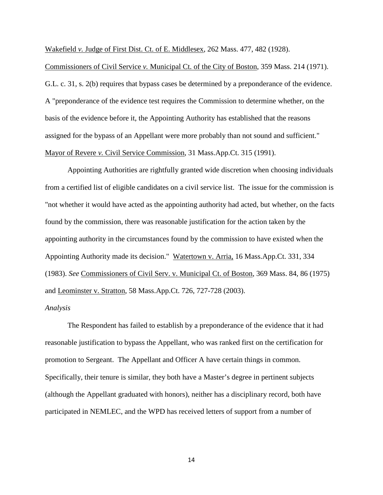Wakefield *v.* Judge of First Dist. Ct. of E. Middlesex, 262 Mass. 477, 482 (1928).

Commissioners of Civil Service *v.* Municipal Ct. of the City of Boston, 359 Mass. 214 (1971). G.L. c. 31, s. 2(b) requires that bypass cases be determined by a preponderance of the evidence. A "preponderance of the evidence test requires the Commission to determine whether, on the basis of the evidence before it, the Appointing Authority has established that the reasons assigned for the bypass of an Appellant were more probably than not sound and sufficient." Mayor of Revere *v.* Civil Service Commission, 31 Mass.App.Ct. 315 (1991).

 Appointing Authorities are rightfully granted wide discretion when choosing individuals from a certified list of eligible candidates on a civil service list. The issue for the commission is "not whether it would have acted as the appointing authority had acted, but whether, on the facts found by the commission, there was reasonable justification for the action taken by the appointing authority in the circumstances found by the commission to have existed when the Appointing Authority made its decision." Watertown v. Arria, 16 Mass.App.Ct. 331, 334 (1983). *See* Commissioners of Civil Serv. v. Municipal Ct. of Boston, 369 Mass. 84, 86 (1975) and Leominster v. Stratton, 58 Mass.App.Ct. 726, 727-728 (2003).

# *Analysis*

The Respondent has failed to establish by a preponderance of the evidence that it had reasonable justification to bypass the Appellant, who was ranked first on the certification for promotion to Sergeant. The Appellant and Officer A have certain things in common. Specifically, their tenure is similar, they both have a Master's degree in pertinent subjects (although the Appellant graduated with honors), neither has a disciplinary record, both have participated in NEMLEC, and the WPD has received letters of support from a number of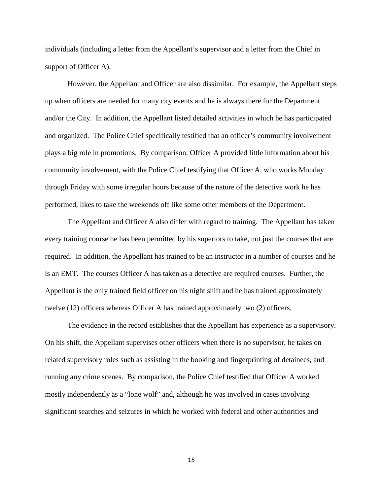individuals (including a letter from the Appellant's supervisor and a letter from the Chief in support of Officer A).

However, the Appellant and Officer are also dissimilar. For example, the Appellant steps up when officers are needed for many city events and he is always there for the Department and/or the City. In addition, the Appellant listed detailed activities in which he has participated and organized. The Police Chief specifically testified that an officer's community involvement plays a big role in promotions. By comparison, Officer A provided little information about his community involvement, with the Police Chief testifying that Officer A, who works Monday through Friday with some irregular hours because of the nature of the detective work he has performed, likes to take the weekends off like some other members of the Department.

The Appellant and Officer A also differ with regard to training. The Appellant has taken every training course he has been permitted by his superiors to take, not just the courses that are required. In addition, the Appellant has trained to be an instructor in a number of courses and he is an EMT. The courses Officer A has taken as a detective are required courses. Further, the Appellant is the only trained field officer on his night shift and he has trained approximately twelve (12) officers whereas Officer A has trained approximately two (2) officers.

The evidence in the record establishes that the Appellant has experience as a supervisory. On his shift, the Appellant supervises other officers when there is no supervisor, he takes on related supervisory roles such as assisting in the booking and fingerprinting of detainees, and running any crime scenes. By comparison, the Police Chief testified that Officer A worked mostly independently as a "lone wolf" and, although he was involved in cases involving significant searches and seizures in which he worked with federal and other authorities and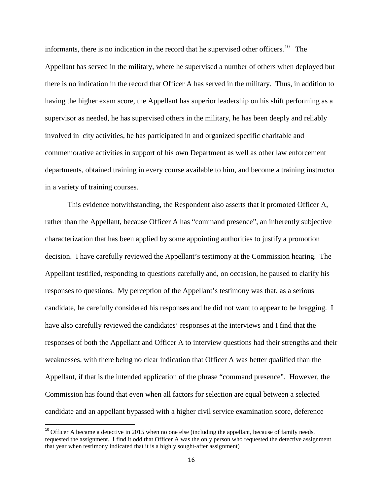informants, there is no indication in the record that he supervised other officers.<sup>[10](#page-15-0)</sup> The Appellant has served in the military, where he supervised a number of others when deployed but there is no indication in the record that Officer A has served in the military. Thus, in addition to having the higher exam score, the Appellant has superior leadership on his shift performing as a supervisor as needed, he has supervised others in the military, he has been deeply and reliably involved in city activities, he has participated in and organized specific charitable and commemorative activities in support of his own Department as well as other law enforcement departments, obtained training in every course available to him, and become a training instructor in a variety of training courses.

This evidence notwithstanding, the Respondent also asserts that it promoted Officer A, rather than the Appellant, because Officer A has "command presence", an inherently subjective characterization that has been applied by some appointing authorities to justify a promotion decision. I have carefully reviewed the Appellant's testimony at the Commission hearing. The Appellant testified, responding to questions carefully and, on occasion, he paused to clarify his responses to questions. My perception of the Appellant's testimony was that, as a serious candidate, he carefully considered his responses and he did not want to appear to be bragging. I have also carefully reviewed the candidates' responses at the interviews and I find that the responses of both the Appellant and Officer A to interview questions had their strengths and their weaknesses, with there being no clear indication that Officer A was better qualified than the Appellant, if that is the intended application of the phrase "command presence". However, the Commission has found that even when all factors for selection are equal between a selected candidate and an appellant bypassed with a higher civil service examination score, deference

<span id="page-15-0"></span> $10$  Officer A became a detective in 2015 when no one else (including the appellant, because of family needs, requested the assignment. I find it odd that Officer A was the only person who requested the detective assignment that year when testimony indicated that it is a highly sought-after assignment)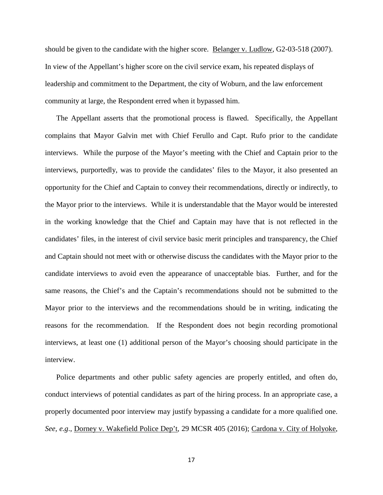should be given to the candidate with the higher score. Belanger v. Ludlow, G2-03-518 (2007). In view of the Appellant's higher score on the civil service exam, his repeated displays of leadership and commitment to the Department, the city of Woburn, and the law enforcement community at large, the Respondent erred when it bypassed him.

The Appellant asserts that the promotional process is flawed. Specifically, the Appellant complains that Mayor Galvin met with Chief Ferullo and Capt. Rufo prior to the candidate interviews. While the purpose of the Mayor's meeting with the Chief and Captain prior to the interviews, purportedly, was to provide the candidates' files to the Mayor, it also presented an opportunity for the Chief and Captain to convey their recommendations, directly or indirectly, to the Mayor prior to the interviews. While it is understandable that the Mayor would be interested in the working knowledge that the Chief and Captain may have that is not reflected in the candidates' files, in the interest of civil service basic merit principles and transparency, the Chief and Captain should not meet with or otherwise discuss the candidates with the Mayor prior to the candidate interviews to avoid even the appearance of unacceptable bias. Further, and for the same reasons, the Chief's and the Captain's recommendations should not be submitted to the Mayor prior to the interviews and the recommendations should be in writing, indicating the reasons for the recommendation. If the Respondent does not begin recording promotional interviews, at least one (1) additional person of the Mayor's choosing should participate in the interview.

Police departments and other public safety agencies are properly entitled, and often do, conduct interviews of potential candidates as part of the hiring process. In an appropriate case, a properly documented poor interview may justify bypassing a candidate for a more qualified one. *See, e.g*., Dorney v. Wakefield Police Dep't, 29 MCSR 405 (2016); Cardona v. City of Holyoke,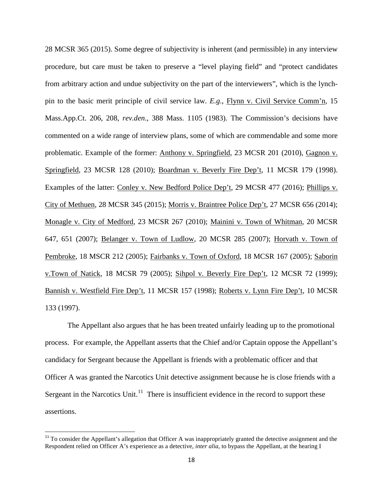28 MCSR 365 (2015). Some degree of subjectivity is inherent (and permissible) in any interview procedure, but care must be taken to preserve a "level playing field" and "protect candidates from arbitrary action and undue subjectivity on the part of the interviewers", which is the lynchpin to the basic merit principle of civil service law. *E.g*., Flynn v. Civil Service Comm'n, 15 Mass.App.Ct. 206, 208, *rev.den*., 388 Mass. 1105 (1983). The Commission's decisions have commented on a wide range of interview plans, some of which are commendable and some more problematic. Example of the former: Anthony v. Springfield, 23 MCSR 201 (2010), Gagnon v. Springfield, 23 MCSR 128 (2010); Boardman v. Beverly Fire Dep't, 11 MCSR 179 (1998). Examples of the latter: Conley v. New Bedford Police Dep't, 29 MCSR 477 (2016); Phillips v. City of Methuen, 28 MCSR 345 (2015); Morris v. Braintree Police Dep't, 27 MCSR 656 (2014); Monagle v. City of Medford, 23 MCSR 267 (2010); Mainini v. Town of Whitman, 20 MCSR 647, 651 (2007); Belanger v. Town of Ludlow, 20 MCSR 285 (2007); Horvath v. Town of Pembroke, 18 MSCR 212 (2005); Fairbanks v. Town of Oxford, 18 MCSR 167 (2005); Saborin v.Town of Natick, 18 MCSR 79 (2005); Sihpol v. Beverly Fire Dep't, 12 MCSR 72 (1999); Bannish v. Westfield Fire Dep't, 11 MCSR 157 (1998); Roberts v. Lynn Fire Dep't, 10 MCSR 133 (1997).

The Appellant also argues that he has been treated unfairly leading up to the promotional process. For example, the Appellant asserts that the Chief and/or Captain oppose the Appellant's candidacy for Sergeant because the Appellant is friends with a problematic officer and that Officer A was granted the Narcotics Unit detective assignment because he is close friends with a Sergeant in the Narcotics Unit. $11$  There is insufficient evidence in the record to support these assertions.

<span id="page-17-0"></span> $11$  To consider the Appellant's allegation that Officer A was inappropriately granted the detective assignment and the Respondent relied on Officer A's experience as a detective, *inter alia*, to bypass the Appellant, at the hearing I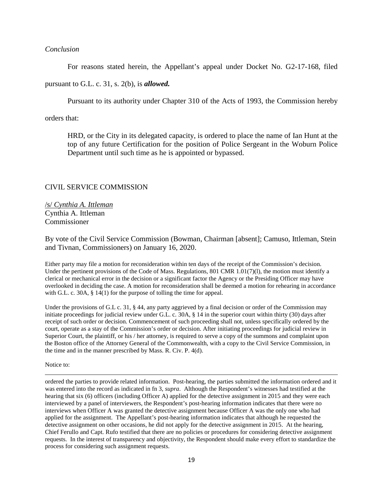### *Conclusion*

For reasons stated herein, the Appellant's appeal under Docket No. G2-17-168, filed

pursuant to G.L. c. 31, s. 2(b), is *allowed.* 

Pursuant to its authority under Chapter 310 of the Acts of 1993, the Commission hereby

orders that:

HRD, or the City in its delegated capacity, is ordered to place the name of Ian Hunt at the top of any future Certification for the position of Police Sergeant in the Woburn Police Department until such time as he is appointed or bypassed.

## CIVIL SERVICE COMMISSION

/s/ *Cynthia A. Ittleman* Cynthia A. Ittleman Commissioner

By vote of the Civil Service Commission (Bowman, Chairman [absent]; Camuso, Ittleman, Stein and Tivnan, Commissioners) on January 16, 2020.

Either party may file a motion for reconsideration within ten days of the receipt of the Commission's decision. Under the pertinent provisions of the Code of Mass. Regulations, 801 CMR  $1.01(7)(1)$ , the motion must identify a clerical or mechanical error in the decision or a significant factor the Agency or the Presiding Officer may have overlooked in deciding the case. A motion for reconsideration shall be deemed a motion for rehearing in accordance with G.L. c. 30A,  $\S$  14(1) for the purpose of tolling the time for appeal.

Under the provisions of G.L c. 31, § 44, any party aggrieved by a final decision or order of the Commission may initiate proceedings for judicial review under G.L. c. 30A, § 14 in the superior court within thirty (30) days after receipt of such order or decision. Commencement of such proceeding shall not, unless specifically ordered by the court, operate as a stay of the Commission's order or decision. After initiating proceedings for judicial review in Superior Court, the plaintiff, or his / her attorney, is required to serve a copy of the summons and complaint upon the Boston office of the Attorney General of the Commonwealth, with a copy to the Civil Service Commission, in the time and in the manner prescribed by Mass. R. Civ. P. 4(d).

Notice to:

l

ordered the parties to provide related information. Post-hearing, the parties submitted the information ordered and it was entered into the record as indicated in fn 3, *supra*. Although the Respondent's witnesses had testified at the hearing that six (6) officers (including Officer A) applied for the detective assignment in 2015 and they were each interviewed by a panel of interviewers, the Respondent's post-hearing information indicates that there were no interviews when Officer A was granted the detective assignment because Officer A was the only one who had applied for the assignment. The Appellant's post-hearing information indicates that although he requested the detective assignment on other occasions, he did not apply for the detective assignment in 2015. At the hearing, Chief Ferullo and Capt. Rufo testified that there are no policies or procedures for considering detective assignment requests. In the interest of transparency and objectivity, the Respondent should make every effort to standardize the process for considering such assignment requests.